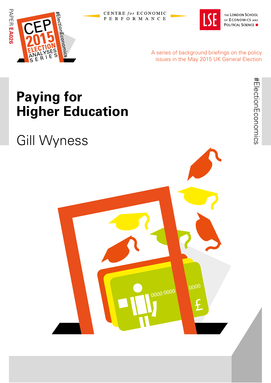

CENTRE for ECONOMIC PERFORMANCE



THE LONDON SCHOOL OF ECONOMICS AND POLITICAL SCIENCE

A series of background briefings on the policy issues in the May 2015 UK General Election

0000 0000

£

# **Paying for Higher Education**

# Gill Wyness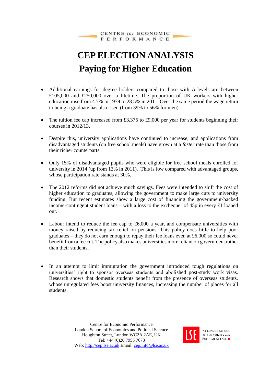

# **CEP ELECTION ANALYSIS Paying for Higher Education**

- Additional earnings for degree holders compared to those with A-levels are between £105,000 and £250,000 over a lifetime. The proportion of UK workers with higher education rose from 4.7% in 1979 to 28.5% in 2011. Over the same period the wage return to being a graduate has also risen (from 39% to 56% for men).
- The tuition fee cap increased from £3,375 to £9,000 per year for students beginning their courses in 2012/13.
- Despite this, university applications have continued to increase, and applications from disadvantaged students (on free school meals) have grown at a *faster* rate than those from their richer counterparts.
- Only 15% of disadvantaged pupils who were eligible for free school meals enrolled for university in 2014 (up from 13% in 2011). This is low compared with advantaged groups, whose participation rate stands at 30%.
- The 2012 reforms did not achieve much savings. Fees were intended to shift the cost of higher education to graduates, allowing the government to make large cuts to university funding. But recent estimates show a large cost of financing the government-backed income-contingent student loans – with a loss to the exchequer of 45p in every  $\pounds 1$  loaned out.
- Labour intend to reduce the fee cap to £6,000 a year, and compensate universities with money raised by reducing tax relief on pensions. This policy does little to help poor graduates – they do not earn enough to repay their fee loans even at £6,000 so could never benefit from a fee cut. The policy also makes universities more reliant on government rather than their students.
- In an attempt to limit immigration the government introduced tough regulations on universities' right to sponsor overseas students and abolished post-study work visas. Research shows that domestic students benefit from the presence of overseas students, whose unregulated fees boost university finances, increasing the number of places for all students.

Centre for Economic Performance London School of Economics and Political Science Houghton Street, London WC2A 2AE, UK Tel: +44 (0)20 7955 7673 Web: [http://cep.lse.ac.uk](http://cep.lse.ac.uk/) Email: [cep.info@lse.ac.uk](mailto:cep.info@lse.ac.uk)



THE LONDON SCHOOL OF ECONOMICS AND **POLITICAL SCIENCE**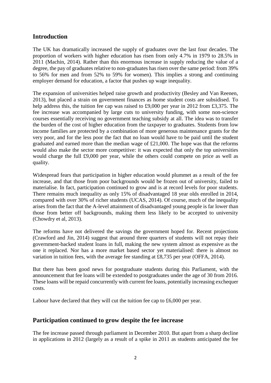#### **Introduction**

The UK has dramatically increased the supply of graduates over the last four decades. The proportion of workers with higher education has risen from only 4.7% in 1979 to 28.5% in 2011 (Machin, 2014). Rather than this enormous increase in supply reducing the value of a degree, the pay of graduates relative to non-graduates has risen over the same period: from 39% to 56% for men and from 52% to 59% for women). This implies a strong and continuing employer demand for education, a factor that pushes up wage inequality.

The expansion of universities helped raise growth and productivity (Besley and Van Reenen, 2013), but placed a strain on government finances as home student costs are subsidised. To help address this, the tuition fee cap was raised to £9,000 per year in 2012 from £3,375. The fee increase was accompanied by large cuts to university funding, with some non-science courses essentially receiving no government teaching subsidy at all. The idea was to transfer the burden of the cost of higher education from the taxpayer to graduates. Students from low income families are protected by a combination of more generous maintenance grants for the very poor, and for the less poor the fact that no loan would have to be paid until the student graduated and earned more than the median wage of £21,000. The hope was that the reforms would also make the sector more competitive: it was expected that only the top universities would charge the full £9,000 per year, while the others could compete on price as well as quality.

Widespread fears that participation in higher education would plummet as a result of the fee increase, and that those from poor backgrounds would be frozen out of university, failed to materialise. In fact, participation continued to grow and is at record levels for poor students. There remains much inequality as only 15% of disadvantaged 18 year olds enrolled in 2014, compared with over 30% of richer students (UCAS, 2014). Of course, much of the inequality arises from the fact that the A-level attainment of disadvantaged young people is far lower than those from better off backgrounds, making them less likely to be accepted to university (Chowdry et al, 2013).

The reforms have not delivered the savings the government hoped for. Recent projections (Crawford and Jin, 2014) suggest that around three quarters of students will not repay their government-backed student loans in full, making the new system almost as expensive as the one it replaced. Nor has a more market based sector yet materialised: there is almost no variation in tuition fees, with the average fee standing at £8,735 per year (OFFA, 2014).

But there has been good news for postgraduate students during this Parliament, with the announcement that fee loans will be extended to postgraduates under the age of 30 from 2016. These loans will be repaid concurrently with current fee loans, potentially increasing exchequer costs.

Labour have declared that they will cut the tuition fee cap to £6,000 per year.

#### **Participation continued to grow despite the fee increase**

The fee increase passed through parliament in December 2010. But apart from a sharp decline in applications in 2012 (largely as a result of a spike in 2011 as students anticipated the fee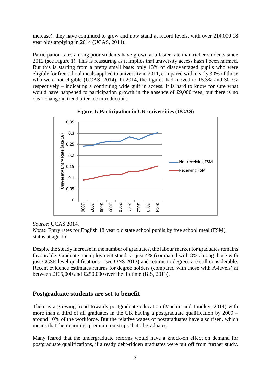increase), they have continued to grow and now stand at record levels, with over 214,000 18 year olds applying in 2014 (UCAS, 2014).

Participation rates among poor students have grown at a faster rate than richer students since 2012 (see Figure 1). This is reassuring as it implies that university access hasn't been harmed. But this is starting from a pretty small base: only 13% of disadvantaged pupils who were eligible for free school meals applied to university in 2011, compared with nearly 30% of those who were not eligible (UCAS, 2014). In 2014, the figures had moved to 15.3% and 30.3% respectively – indicating a continuing wide gulf in access. It is hard to know for sure what would have happened to participation growth in the absence of £9,000 fees, but there is no clear change in trend after fee introduction.





*Source*: UCAS 2014.

*Notes*: Entry rates for English 18 year old state school pupils by free school meal (FSM) status at age 15.

Despite the steady increase in the number of graduates, the labour market for graduates remains favourable. Graduate unemployment stands at just 4% (compared with 8% among those with just GCSE level qualifications – see ONS 2013) and returns to degrees are still considerable. Recent evidence estimates returns for degree holders (compared with those with A-levels) at between £105,000 and £250,000 over the lifetime (BIS, 2013).

#### **Postgraduate students are set to benefit**

There is a growing trend towards postgraduate education (Machin and Lindley, 2014) with more than a third of all graduates in the UK having a postgraduate qualification by 2009 – around 10% of the workforce. But the relative wages of postgraduates have also risen, which means that their earnings premium outstrips that of graduates.

Many feared that the undergraduate reforms would have a knock-on effect on demand for postgraduate qualifications, if already debt-ridden graduates were put off from further study.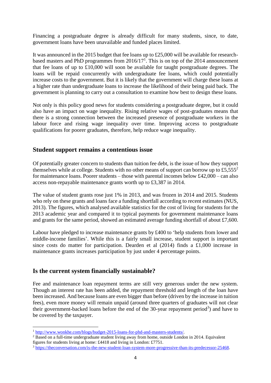Financing a postgraduate degree is already difficult for many students, since, to date, government loans have been unavailable and funded places limited.

It was announced in the 2015 budget that fee loans up to £25,000 will be available for researchbased masters and PhD programmes from  $2016/17<sup>1</sup>$ . This is on top of the 2014 announcement that fee loans of up to £10,000 will soon be available for taught postgraduate degrees. The loans will be repaid concurrently with undergraduate fee loans, which could potentially increase costs to the government. But it is likely that the government will charge these loans at a higher rate than undergraduate loans to increase the likelihood of their being paid back. The government is planning to carry out a consultation to examine how best to design these loans.

Not only is this policy good news for students considering a postgraduate degree, but it could also have an impact on wage inequality. Rising relative wages of post-graduates means that there is a strong connection between the increased presence of postgraduate workers in the labour force and rising wage inequality over time. Improving access to postgraduate qualifications for poorer graduates, therefore, help reduce wage inequality.

#### **Student support remains a contentious issue**

Of potentially greater concern to students than tuition fee debt, is the issue of how they support themselves while at college. Students with no other means of support can borrow up to  $\text{\pounds}5,555^2$ for maintenance loans. Poorer students – those with parental incomes below  $\text{\pounds}42,000$  – can also access non-repayable maintenance grants worth up to £3,387 in 2014.

The value of student grants rose just 1% in 2013, and was frozen in 2014 and 2015. Students who rely on these grants and loans face a funding shortfall according to recent estimates (NUS, 2013). The figures, which analysed available statistics for the cost of living for students for the 2013 academic year and compared it to typical payments for government maintenance loans and grants for the same period, showed an estimated average funding shortfall of about £7,600.

Labour have pledged to increase maintenance grants by £400 to 'help students from lower and middle-income families'. While this is a fairly small increase, student support is important since costs do matter for participation. Dearden et al (2014) finds a £1,000 increase in maintenance grants increases participation by just under 4 percentage points.

#### **Is the current system financially sustainable?**

**.** 

Fee and maintenance loan repayment terms are still very generous under the new system. Though an interest rate has been added, the repayment threshold and length of the loan have been increased. And because loans are even bigger than before (driven by the increase in tuition fees), even more money will remain unpaid (around three quarters of graduates will not clear their government-backed loans before the end of the  $30$ -year repayment period<sup>3</sup>) and have to be covered by the taxpayer.

<sup>1</sup> [http://www.wonkhe.com/blogs/budget-2015-loans-for-phd-and-masters-students/.](http://www.wonkhe.com/blogs/budget-2015-loans-for-phd-and-masters-students/) 

<sup>&</sup>lt;sup>2</sup> Based on a full-time undergraduate student living away from home, outside London in 2014. Equivalent figures for students living at home: £4418 and living in London: £7751.

<sup>&</sup>lt;sup>3</sup> [https://theconversation.com/is-the-new-student-loan-system-more-progressive-than-its-predecessor-25468.](https://theconversation.com/is-the-new-student-loan-system-more-progressive-than-its-predecessor-25468)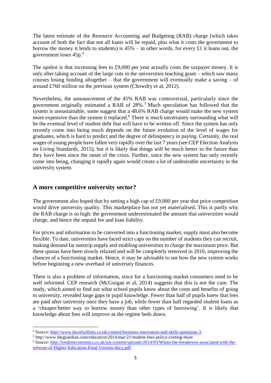The latest estimate of the Resource Accounting and Budgeting (RAB) charge (which takes account of both the fact that not all loans will be repaid, plus what it costs the government to borrow the money it lends to students) is  $45\%$  – in other words, for every £1 it loans out, the government loses 45p. 4

The upshot is that increasing fees to £9,000 per year actually costs the taxpayer money. It is only after taking account of the large cuts in the universities teaching grant – which saw many courses losing funding altogether – that the government will eventually make a saving – of around £760 million on the previous system (Chowdry et al, 2012).

Nevertheless, the announcement of the 45% RAB was controversial, particularly since the government originally estimated a RAB of 28%. <sup>5</sup> Much speculation has followed that the system is unsustainable, some suggest that a 48.6% RAB charge would make the new system more expensive than the system it replaced.<sup>6</sup> There is much uncertainty surrounding what will be the eventual level of student debt that will have to be written off. Since the system has only recently come into being much depends on the future evolution of the level of wages for graduates, which is hard to predict and the degree of delinquency in paying. Certainly, the real wages of young people have fallen very rapidly over the last 7 years (see CEP Election Analysis on Living Standards, 2015), but it is likely that things will be much better in the future than they have been since the onset of the crisis. Further, since the new system has only recently come into being, changing it rapidly again would create a lot of undesirable uncertainty in the university system.

#### **A more competitive university sector?**

**.** 

The government also hoped that by setting a high cap of £9,000 per year that price competition would drive university quality. This marketplace has not yet materialised. This is partly why the RAB charge is so high: the government underestimated the amount that universities would charge, and hence the unpaid fee and loan liability.

For prices and information to be converted into a functioning market, supply must also become flexible. To date, universities have faced strict caps on the number of students they can recruit, making demand far outstrip supply and enabling universities to charge the maximum price. But these quotas have been slowly relaxed and will be [completely removed in 2016,](http://www.theguardian.com/higher-education-network/blog/2013/dec/09/autumn-statement-student-numbers-loanbook) improving the chances of a functioning market. Hence, it may be advisable to see how the new system works before beginning a new overhaul of university finances.

There is also a problem of information, since for a functioning market consumers need to be well informed. CEP research (McGuigan et al, 2014) suggests that this is not the case. The study, which aimed to find out what school pupils know about the costs and benefits of going to university, revealed large gaps in pupil knowledge. Fewer than half of pupils knew that fees are paid after university once they have a job, while fewer than half regarded student loans as a 'cheaper/better way to borrow money than other types of borrowing'. It is likely that knowledge about fees will improve as the regime beds down.

<sup>&</sup>lt;sup>4</sup> Source: [http://www.davidwilletts.co.uk/content/business-innovation-and-skills-questions-3.](http://www.davidwilletts.co.uk/content/business-innovation-and-skills-questions-3)

<sup>5</sup> http://www.theguardian.com/education/2014/mar/21/student-fees-policy-costing-more

<sup>6</sup> Source: [http://londoneconomics.co.uk/wp-content/uploads/2014/03/Whats-the-breakeven-associated-with-the](http://londoneconomics.co.uk/wp-content/uploads/2014/03/Whats-the-breakeven-associated-with-the-reforms-of-Higher-Education-Final-Version-docx.pdf)[reforms-of-Higher-Education-Final-Version-docx.pdf.](http://londoneconomics.co.uk/wp-content/uploads/2014/03/Whats-the-breakeven-associated-with-the-reforms-of-Higher-Education-Final-Version-docx.pdf)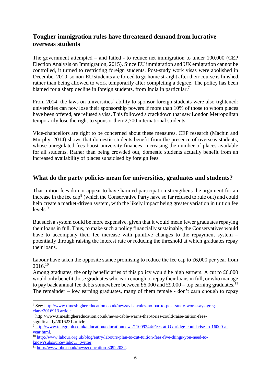# **Tougher immigration rules have threatened demand from lucrative overseas students**

The government attempted – and failed - to reduce net immigration to under 100,000 (CEP Election Analysis on Immigration, 2015). Since EU immigration and UK emigration cannot be controlled, it turned to restricting foreign students. Post-study work visas were abolished in December 2010, so non-EU students are forced to go home straight after their course is finished, rather than being allowed to work temporarily after completing a degree. The policy has been blamed for a sharp decline in foreign students, from India in particular.<sup>7</sup>

From 2014, the laws on universities' ability to sponsor foreign students were also tightened: universities can now lose their sponsorship powers if more than 10% of those to whom places have been offered, are refused a visa. This followed a crackdown that saw London Metropolitan temporarily lose the right to sponsor their 2,700 international students.

Vice-chancellors are right to be concerned about these measures. CEP research (Machin and Murphy, 2014) shows that domestic students benefit from the presence of overseas students, whose unregulated fees boost university finances, increasing the number of places available for all students. Rather than being crowded out, domestic students actually benefit from an increased availability of places subsidised by foreign fees.

## **What do the party policies mean for universities, graduates and students?**

That tuition fees do not appear to have harmed participation strengthens the argument for an increase in the fee cap<sup>8</sup> (which the Conservative Party have so far refused to rule out) and could help create a market-driven system, with the likely impact being greater variation in tuition fee levels. 9

But such a system could be more expensive, given that it would mean fewer graduates repaying their loans in full. Thus, to make such a policy financially sustainable, the Conservatives would have to accompany their fee increase with punitive changes to the repayment system – potentially through raising the interest rate or reducing the threshold at which graduates repay their loans.

Labour have taken the opposite stance promising to reduce the fee cap to £6,000 per year from 2016. 10

Among graduates, the only beneficiaries of this policy would be high earners. A cut to £6,000 would only benefit those graduates who earn enough to repay their loans in full, or who manage to pay back annual fee debts somewhere between £6,000 and £9,000 – top earning graduates.<sup>11</sup> The remainder – low earning graduates, many of them female - don't earn enough to repay

 $\overline{a}$ <sup>7</sup> See: [http://www.timeshighereducation.co.uk/news/visa-rules-no-bar-to-post-study-work-says-greg](http://www.timeshighereducation.co.uk/news/visa-rules-no-bar-to-post-study-work-says-greg-clark/2016913.article)[clark/2016913.article.](http://www.timeshighereducation.co.uk/news/visa-rules-no-bar-to-post-study-work-says-greg-clark/2016913.article)

<sup>8</sup> http://www.timeshighereducation.co.uk/news/cable-warns-that-tories-could-raise-tuition-feessignificantly/2016231.article

<sup>9</sup> [http://www.telegraph.co.uk/education/educationnews/11009244/Fees-at-Oxbridge-could-rise-to-16000-a](http://www.telegraph.co.uk/education/educationnews/11009244/Fees-at-Oxbridge-could-rise-to-16000-a-year.html)[year.html.](http://www.telegraph.co.uk/education/educationnews/11009244/Fees-at-Oxbridge-could-rise-to-16000-a-year.html)

<sup>10</sup> [http://www.labour.org.uk/blog/entry/labours-plan-to-cut-tuition-fees-five-things-you-need-to](http://www.labour.org.uk/blog/entry/labours-plan-to-cut-tuition-fees-five-things-you-need-to-know?subsource=labour_twitter)[know?subsource=labour\\_twitter.](http://www.labour.org.uk/blog/entry/labours-plan-to-cut-tuition-fees-five-things-you-need-to-know?subsource=labour_twitter)

<sup>&</sup>lt;sup>11</sup> [http://www.bbc.co.uk/news/education-30922032.](http://www.bbc.co.uk/news/education-30922032)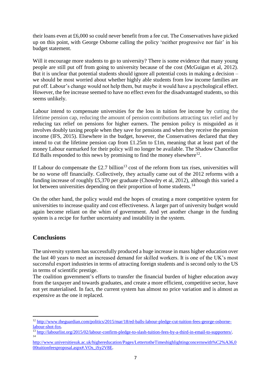their loans even at £6,000 so could never benefit from a fee cut. The Conservatives have picked up on this point, with George Osborne calling the policy 'neither progressive nor fair' in his budget statement.

Will it encourage more students to go to university? There is some evidence that many young people are still put off from going to university because of the cost (McGuigan et al, 2012). But it is unclear that potential students should ignore all potential costs in making a decision – we should be most worried about whether highly able students from low income families are put off. Labour's change would not help them, but maybe it would have a psychological effect. However, the fee increase seemed to have no effect even for the disadvantaged students, so this seems unlikely.

Labour intend to compensate universities for the loss in tuition fee income by cutting the lifetime pension cap, reducing the amount of pension contributions attracting tax relief and by reducing tax relief on pensions for higher earners. The pension policy is misguided as it involves doubly taxing people when they save for pensions and when they receive the pension income (IFS, 2015). Elsewhere in the budget, however, the Conservatives declared that they intend to cut the lifetime pension cap from £1.25m to £1m, meaning that at least part of the money Labour earmarked for their policy will no longer be available. The Shadow Chancellor Ed Balls responded to this news by promising to find the money elsewhere $^{12}$ .

If Labour do compensate the £2.7 billion<sup>13</sup> cost of the reform from tax rises, universities will be no worse off financially. Collectively, they actually came out of the 2012 reforms with a funding increase of roughly £5,370 per graduate (Chowdry et al, 2012), although this varied a lot between universities depending on their proportion of home students.<sup>14</sup>

On the other hand, the policy would end the hopes of creating a more competitive system for universities to increase quality and cost effectiveness. A larger part of university budget would again become reliant on the whim of government. And yet another change in the funding system is a recipe for further uncertainty and instability in the system.

## **Conclusions**

1

The university system has successfully produced a huge increase in mass higher education over the last 40 years to meet an increased demand for skilled workers. It is one of the UK's most successful export industries in terms of attracting foreign students and is second only to the US in terms of scientific prestige.

The coalition government's efforts to transfer the financial burden of higher education away from the taxpayer and towards graduates, and create a more efficient, competitive sector, have not yet materialised. In fact, the current system has almost no price variation and is almost as expensive as the one it replaced.

<sup>&</sup>lt;sup>12</sup> [http://www.theguardian.com/politics/2015/mar/18/ed-balls-labour-pledge-cut-tuition-fees-george-osborne](http://www.theguardian.com/politics/2015/mar/18/ed-balls-labour-pledge-cut-tuition-fees-george-osborne-labour-shot-fox)[labour-shot-fox.](http://www.theguardian.com/politics/2015/mar/18/ed-balls-labour-pledge-cut-tuition-fees-george-osborne-labour-shot-fox)

<sup>13</sup> [http://labourlist.org/2015/02/labour-confirm-pledge-to-slash-tuition-fees-by-a-third-in-email-to-supporters/.](http://labourlist.org/2015/02/labour-confirm-pledge-to-slash-tuition-fees-by-a-third-in-email-to-supporters/) 14

[http://www.universitiesuk.ac.uk/highereducation/Pages/LettertotheTimeshighlightingconcernswith%C2%A36,0](http://www.universitiesuk.ac.uk/highereducation/Pages/LettertotheTimeshighlightingconcernswith%C2%A36,000tuitionfeesproposal.aspx#.VOs_iSy2V8E) [00tuitionfeesproposal.aspx#.VOs\\_iSy2V8E.](http://www.universitiesuk.ac.uk/highereducation/Pages/LettertotheTimeshighlightingconcernswith%C2%A36,000tuitionfeesproposal.aspx#.VOs_iSy2V8E)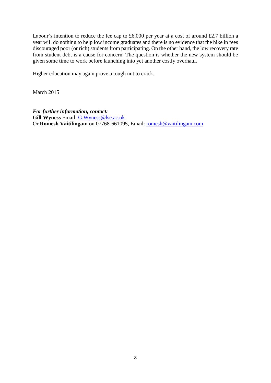Labour's intention to reduce the fee cap to £6,000 per year at a cost of around £2.7 billion a year will do nothing to help low income graduates and there is no evidence that the hike in fees discouraged poor (or rich) students from participating. On the other hand, the low recovery rate from student debt is a cause for concern. The question is whether the new system should be given some time to work before launching into yet another costly overhaul.

Higher education may again prove a tough nut to crack.

March 2015

*For further information, contact:* **Gill Wyness** Email: [G.Wyness@lse.ac.uk](mailto:G.Wyness@lse.ac.uk) Or **Romesh Vaitilingam** on 07768-661095, Email: [romesh@vaitilingam.com](mailto:romesh@vaitilingam.com)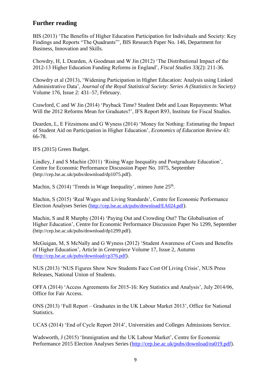# **Further reading**

BIS (2013) 'The Benefits of Higher Education Participation for Individuals and Society: Key Findings and Reports "The Quadrants"', BIS Research Paper No. 146, Department for Business, Innovation and Skills.

Chowdry, H, L Dearden, A Goodman and W Jin (2012) 'The Distributional Impact of the 2012-13 Higher Education Funding Reforms in England', *Fiscal Studies* 33(2): 211-36.

Chowdry et al (2013), 'Widening Participation in Higher Education: Analysis using Linked Administrative Data', *Journal of the Royal Statistical Society: Series A (Statistics in Society)* Volume 176, Issue 2: 431–57, February.

Crawford, C and W Jin (2014) 'Payback Time? Student Debt and Loan Repayments: What Will the 2012 Reforms Mean for Graduates?', IFS Report R93, Institute for Fiscal Studies.

Dearden, L, E Fitzsimons and G Wyness (2014) 'Money for Nothing: Estimating the Impact of Student Aid on Participation in Higher Education', *Economics of Education Review* 43: 66-78.

IFS (2015) Green Budget.

Lindley, J and S Machin (2011) 'Rising Wage Inequality and Postgraduate Education', Centre for Economic Performance Discussion Paper No. 1075, September (http://cep.lse.ac.uk/pubs/download/dp1075.pdf).

Machin, S (2014) 'Trends in Wage Inequality', mimeo June  $25<sup>th</sup>$ .

Machin, S (2015) 'Real Wages and Living Standards', Centre for Economic Performance Election Analyses Series (<http://cep.lse.ac.uk/pubs/download/EA024.pdf>).

Machin, S and R Murphy (2014) 'Paying Out and Crowding Out? The Globalisation of Higher Education', Centre for Economic Performance Discussion Paper No 1299, September (http://cep.lse.ac.uk/pubs/download/dp1299.pdf).

McGuigan, M, S McNally and G Wyness (2012) 'Student Awareness of Costs and Benefits of Higher Education', Article in *Centrepiece* Volume 17, Issue 2, Autumn (<http://cep.lse.ac.uk/pubs/download/cp376.pdf>).

NUS (2013) 'NUS Figures Show New Students Face Cost Of Living Crisis', NUS Press Releases, National Union of Students.

OFFA (2014) 'Access Agreements for 2015-16: Key Statistics and Analysis', July 2014/06, Office for Fair Access.

ONS (2013) 'Full Report – Graduates in the UK Labour Market 2013', Office for National Statistics.

UCAS (2014) 'End of Cycle Report 2014', Universities and Colleges Admissions Service.

Wadsworth, J (2015) 'Immigration and the UK Labour Market', Centre for Economic Performance 2015 Election Analyses Series [\(http://cep.lse.ac.uk/pubs/download/ea019.pdf\)](http://cep.lse.ac.uk/pubs/download/ea019.pdf).